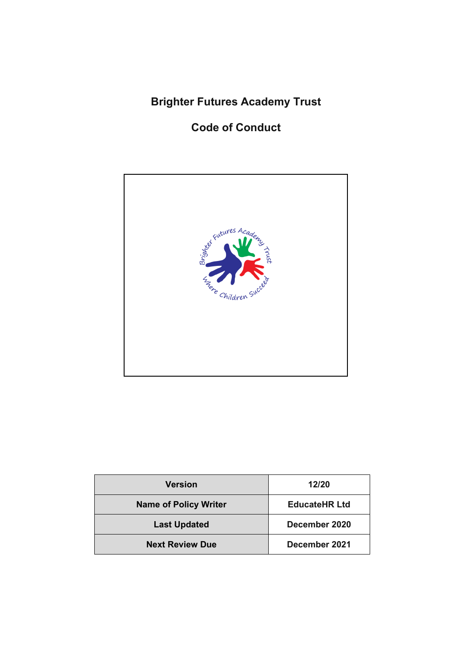# **Brighter Futures Academy Trust**

## **Code of Conduct**



| <b>Version</b>               | 12/20                |
|------------------------------|----------------------|
| <b>Name of Policy Writer</b> | <b>EducateHR Ltd</b> |
| <b>Last Updated</b>          | December 2020        |
| <b>Next Review Due</b>       | December 2021        |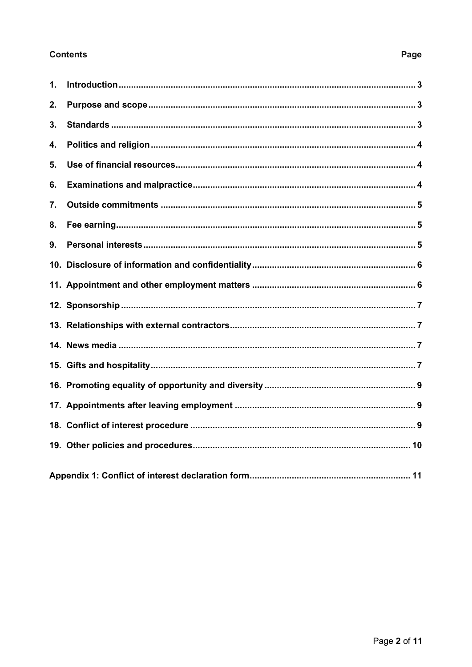## **Contents**

## $\mathbf{1}$ .  $2.$  $3<sub>l</sub>$  $\overline{\mathbf{4}}$  $5<sub>1</sub>$ 6.  $\overline{7}$ .  $\mathbf{8}$ 9. 14 News media **contract to the contract of the contract of the contract of the contract of the contract of the contract of the contract of the contract of the contract of the contract of the contract of the contract of the**

#### Page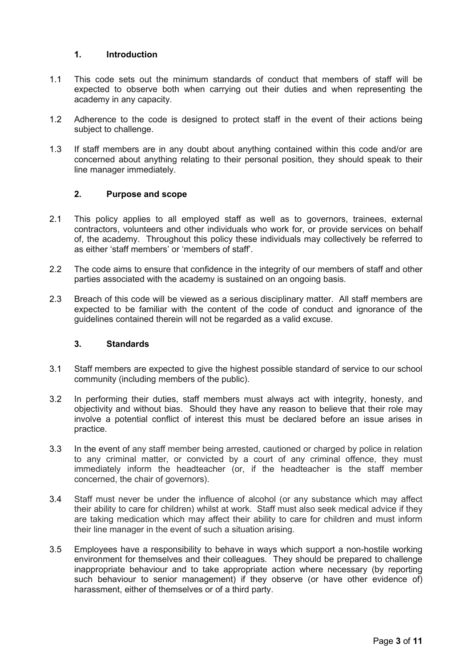#### **1. Introduction**

- <span id="page-2-0"></span>1.1 This code sets out the minimum standards of conduct that members of staff will be expected to observe both when carrying out their duties and when representing the academy in any capacity.
- 1.2 Adherence to the code is designed to protect staff in the event of their actions being subject to challenge.
- 1.3 If staff members are in any doubt about anything contained within this code and/or are concerned about anything relating to their personal position, they should speak to their line manager immediately.

### <span id="page-2-1"></span>**2. Purpose and scope**

- 2.1 This policy applies to all employed staff as well as to governors, trainees, external contractors, volunteers and other individuals who work for, or provide services on behalf of, the academy. Throughout this policy these individuals may collectively be referred to as either 'staff members' or 'members of staff'.
- 2.2 The code aims to ensure that confidence in the integrity of our members of staff and other parties associated with the academy is sustained on an ongoing basis.
- 2.3 Breach of this code will be viewed as a serious disciplinary matter. All staff members are expected to be familiar with the content of the code of conduct and ignorance of the guidelines contained therein will not be regarded as a valid excuse.

#### <span id="page-2-2"></span>**3. Standards**

- 3.1 Staff members are expected to give the highest possible standard of service to our school community (including members of the public).
- 3.2 In performing their duties, staff members must always act with integrity, honesty, and objectivity and without bias. Should they have any reason to believe that their role may involve a potential conflict of interest this must be declared before an issue arises in practice.
- 3.3 In the event of any staff member being arrested, cautioned or charged by police in relation to any criminal matter, or convicted by a court of any criminal offence, they must immediately inform the headteacher (or, if the headteacher is the staff member concerned, the chair of governors).
- 3.4 Staff must never be under the influence of alcohol (or any substance which may affect their ability to care for children) whilst at work. Staff must also seek medical advice if they are taking medication which may affect their ability to care for children and must inform their line manager in the event of such a situation arising.
- 3.5 Employees have a responsibility to behave in ways which support a non-hostile working environment for themselves and their colleagues. They should be prepared to challenge inappropriate behaviour and to take appropriate action where necessary (by reporting such behaviour to senior management) if they observe (or have other evidence of) harassment, either of themselves or of a third party.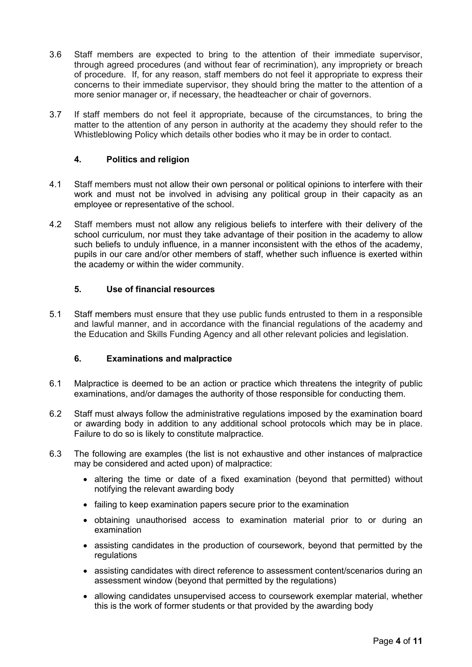- 3.6 Staff members are expected to bring to the attention of their immediate supervisor, through agreed procedures (and without fear of recrimination), any impropriety or breach of procedure. If, for any reason, staff members do not feel it appropriate to express their concerns to their immediate supervisor, they should bring the matter to the attention of a more senior manager or, if necessary, the headteacher or chair of governors.
- 3.7 If staff members do not feel it appropriate, because of the circumstances, to bring the matter to the attention of any person in authority at the academy they should refer to the Whistleblowing Policy which details other bodies who it may be in order to contact.

#### <span id="page-3-0"></span>**4. Politics and religion**

- 4.1 Staff members must not allow their own personal or political opinions to interfere with their work and must not be involved in advising any political group in their capacity as an employee or representative of the school.
- 4.2 Staff members must not allow any religious beliefs to interfere with their delivery of the school curriculum, nor must they take advantage of their position in the academy to allow such beliefs to unduly influence, in a manner inconsistent with the ethos of the academy, pupils in our care and/or other members of staff, whether such influence is exerted within the academy or within the wider community.

#### <span id="page-3-1"></span>**5. Use of financial resources**

5.1 Staff members must ensure that they use public funds entrusted to them in a responsible and lawful manner, and in accordance with the financial regulations of the academy and the Education and Skills Funding Agency and all other relevant policies and legislation.

#### <span id="page-3-2"></span>**6. Examinations and malpractice**

- 6.1 Malpractice is deemed to be an action or practice which threatens the integrity of public examinations, and/or damages the authority of those responsible for conducting them.
- 6.2 Staff must always follow the administrative regulations imposed by the examination board or awarding body in addition to any additional school protocols which may be in place. Failure to do so is likely to constitute malpractice.
- 6.3 The following are examples (the list is not exhaustive and other instances of malpractice may be considered and acted upon) of malpractice:
	- altering the time or date of a fixed examination (beyond that permitted) without notifying the relevant awarding body
	- failing to keep examination papers secure prior to the examination
	- obtaining unauthorised access to examination material prior to or during an examination
	- assisting candidates in the production of coursework, beyond that permitted by the regulations
	- assisting candidates with direct reference to assessment content/scenarios during an assessment window (beyond that permitted by the regulations)
	- allowing candidates unsupervised access to coursework exemplar material, whether this is the work of former students or that provided by the awarding body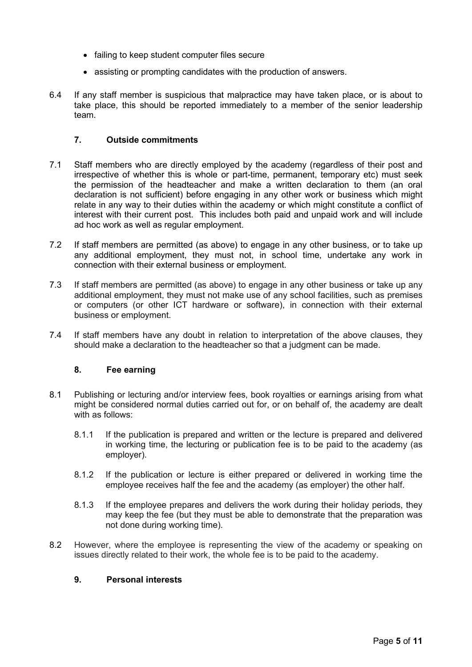- failing to keep student computer files secure
- assisting or prompting candidates with the production of answers.
- 6.4 If any staff member is suspicious that malpractice may have taken place, or is about to take place, this should be reported immediately to a member of the senior leadership team.

### <span id="page-4-0"></span>**7. Outside commitments**

- 7.1 Staff members who are directly employed by the academy (regardless of their post and irrespective of whether this is whole or part-time, permanent, temporary etc) must seek the permission of the headteacher and make a written declaration to them (an oral declaration is not sufficient) before engaging in any other work or business which might relate in any way to their duties within the academy or which might constitute a conflict of interest with their current post. This includes both paid and unpaid work and will include ad hoc work as well as regular employment.
- 7.2 If staff members are permitted (as above) to engage in any other business, or to take up any additional employment, they must not, in school time, undertake any work in connection with their external business or employment.
- 7.3 If staff members are permitted (as above) to engage in any other business or take up any additional employment, they must not make use of any school facilities, such as premises or computers (or other ICT hardware or software), in connection with their external business or employment.
- 7.4 If staff members have any doubt in relation to interpretation of the above clauses, they should make a declaration to the headteacher so that a judgment can be made.

#### <span id="page-4-1"></span>**8. Fee earning**

- 8.1 Publishing or lecturing and/or interview fees, book royalties or earnings arising from what might be considered normal duties carried out for, or on behalf of, the academy are dealt with as follows:
	- 8.1.1 If the publication is prepared and written or the lecture is prepared and delivered in working time, the lecturing or publication fee is to be paid to the academy (as employer).
	- 8.1.2 If the publication or lecture is either prepared or delivered in working time the employee receives half the fee and the academy (as employer) the other half.
	- 8.1.3 If the employee prepares and delivers the work during their holiday periods, they may keep the fee (but they must be able to demonstrate that the preparation was not done during working time).
- 8.2 However, where the employee is representing the view of the academy or speaking on issues directly related to their work, the whole fee is to be paid to the academy.

#### <span id="page-4-2"></span>**9. Personal interests**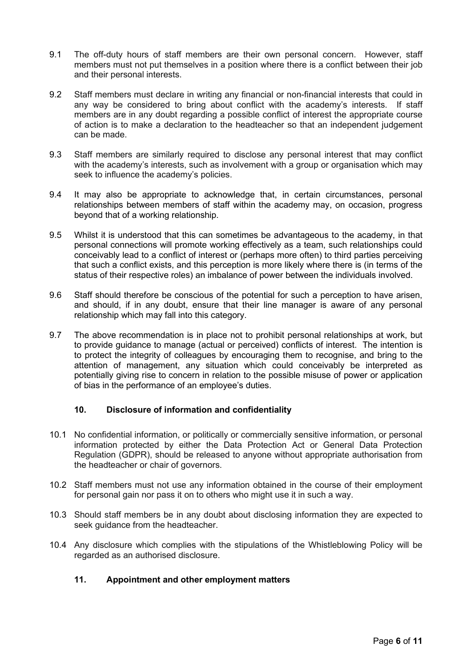- 9.1 The off-duty hours of staff members are their own personal concern. However, staff members must not put themselves in a position where there is a conflict between their job and their personal interests.
- 9.2 Staff members must declare in writing any financial or non-financial interests that could in any way be considered to bring about conflict with the academy's interests. If staff members are in any doubt regarding a possible conflict of interest the appropriate course of action is to make a declaration to the headteacher so that an independent judgement can be made.
- 9.3 Staff members are similarly required to disclose any personal interest that may conflict with the academy's interests, such as involvement with a group or organisation which may seek to influence the academy's policies.
- 9.4 It may also be appropriate to acknowledge that, in certain circumstances, personal relationships between members of staff within the academy may, on occasion, progress beyond that of a working relationship.
- 9.5 Whilst it is understood that this can sometimes be advantageous to the academy, in that personal connections will promote working effectively as a team, such relationships could conceivably lead to a conflict of interest or (perhaps more often) to third parties perceiving that such a conflict exists, and this perception is more likely where there is (in terms of the status of their respective roles) an imbalance of power between the individuals involved.
- 9.6 Staff should therefore be conscious of the potential for such a perception to have arisen, and should, if in any doubt, ensure that their line manager is aware of any personal relationship which may fall into this category.
- 9.7 The above recommendation is in place not to prohibit personal relationships at work, but to provide guidance to manage (actual or perceived) conflicts of interest. The intention is to protect the integrity of colleagues by encouraging them to recognise, and bring to the attention of management, any situation which could conceivably be interpreted as potentially giving rise to concern in relation to the possible misuse of power or application of bias in the performance of an employee's duties.

#### <span id="page-5-0"></span>**10. Disclosure of information and confidentiality**

- 10.1 No confidential information, or politically or commercially sensitive information, or personal information protected by either the Data Protection Act or General Data Protection Regulation (GDPR), should be released to anyone without appropriate authorisation from the headteacher or chair of governors.
- 10.2 Staff members must not use any information obtained in the course of their employment for personal gain nor pass it on to others who might use it in such a way.
- 10.3 Should staff members be in any doubt about disclosing information they are expected to seek guidance from the headteacher.
- 10.4 Any disclosure which complies with the stipulations of the Whistleblowing Policy will be regarded as an authorised disclosure.

## <span id="page-5-1"></span>**11. Appointment and other employment matters**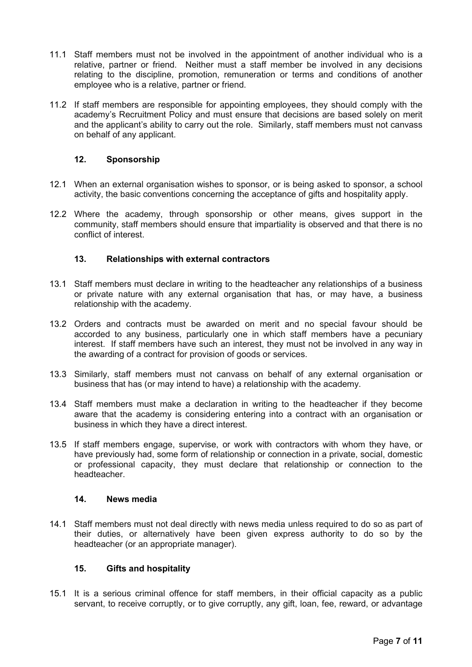- 11.1 Staff members must not be involved in the appointment of another individual who is a relative, partner or friend. Neither must a staff member be involved in any decisions relating to the discipline, promotion, remuneration or terms and conditions of another employee who is a relative, partner or friend.
- 11.2 If staff members are responsible for appointing employees, they should comply with the academy's Recruitment Policy and must ensure that decisions are based solely on merit and the applicant's ability to carry out the role. Similarly, staff members must not canvass on behalf of any applicant.

### <span id="page-6-0"></span>**12. Sponsorship**

- 12.1 When an external organisation wishes to sponsor, or is being asked to sponsor, a school activity, the basic conventions concerning the acceptance of gifts and hospitality apply.
- 12.2 Where the academy, through sponsorship or other means, gives support in the community, staff members should ensure that impartiality is observed and that there is no conflict of interest.

### <span id="page-6-1"></span>**13. Relationships with external contractors**

- 13.1 Staff members must declare in writing to the headteacher any relationships of a business or private nature with any external organisation that has, or may have, a business relationship with the academy.
- 13.2 Orders and contracts must be awarded on merit and no special favour should be accorded to any business, particularly one in which staff members have a pecuniary interest. If staff members have such an interest, they must not be involved in any way in the awarding of a contract for provision of goods or services.
- 13.3 Similarly, staff members must not canvass on behalf of any external organisation or business that has (or may intend to have) a relationship with the academy.
- 13.4 Staff members must make a declaration in writing to the headteacher if they become aware that the academy is considering entering into a contract with an organisation or business in which they have a direct interest.
- 13.5 If staff members engage, supervise, or work with contractors with whom they have, or have previously had, some form of relationship or connection in a private, social, domestic or professional capacity, they must declare that relationship or connection to the headteacher.

#### <span id="page-6-2"></span>**14. News media**

14.1 Staff members must not deal directly with news media unless required to do so as part of their duties, or alternatively have been given express authority to do so by the headteacher (or an appropriate manager).

#### <span id="page-6-3"></span>**15. Gifts and hospitality**

15.1 It is a serious criminal offence for staff members, in their official capacity as a public servant, to receive corruptly, or to give corruptly, any gift, loan, fee, reward, or advantage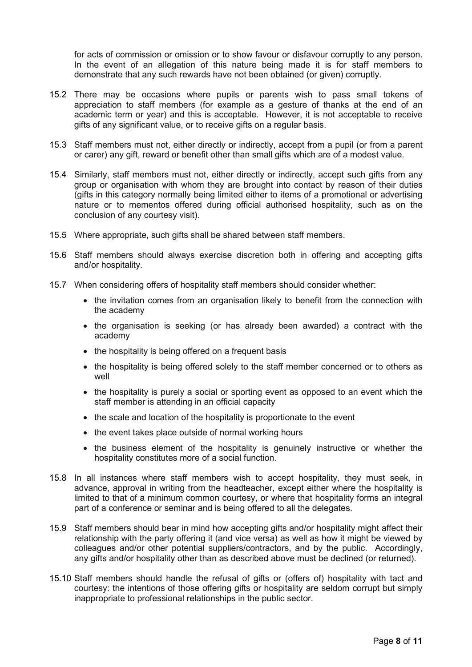for acts of commission or omission or to show favour or disfavour corruptly to any person. In the event of an allegation of this nature being made it is for staff members to demonstrate that any such rewards have not been obtained (or given) corruptly.

- 15.2 There may be occasions where pupils or parents wish to pass small tokens of appreciation to staff members (for example as a gesture of thanks at the end of an academic term or year) and this is acceptable. However, it is not acceptable to receive gifts of any significant value, or to receive gifts on a regular basis.
- 15.3 Staff members must not, either directly or indirectly, accept from a pupil (or from a parent or carer) any gift, reward or benefit other than small gifts which are of a modest value.
- 15.4 Similarly, staff members must not, either directly or indirectly, accept such gifts from any group or organisation with whom they are brought into contact by reason of their duties (gifts in this category normally being limited either to items of a promotional or advertising nature or to mementos offered during official authorised hospitality, such as on the conclusion of any courtesy visit).
- 15.5 Where appropriate, such gifts shall be shared between staff members.
- 15.6 Staff members should always exercise discretion both in offering and accepting gifts and/or hospitality.
- 15.7 When considering offers of hospitality staff members should consider whether:
	- the invitation comes from an organisation likely to benefit from the connection with the academy
	- the organisation is seeking (or has already been awarded) a contract with the academy
	- the hospitality is being offered on a frequent basis
	- the hospitality is being offered solely to the staff member concerned or to others as well
	- the hospitality is purely a social or sporting event as opposed to an event which the staff member is attending in an official capacity
	- the scale and location of the hospitality is proportionate to the event
	- the event takes place outside of normal working hours
	- the business element of the hospitality is genuinely instructive or whether the hospitality constitutes more of a social function.
- 15.8 In all instances where staff members wish to accept hospitality, they must seek, in advance, approval in writing from the headteacher, except either where the hospitality is limited to that of a minimum common courtesy, or where that hospitality forms an integral part of a conference or seminar and is being offered to all the delegates.
- 15.9 Staff members should bear in mind how accepting gifts and/or hospitality might affect their relationship with the party offering it (and vice versa) as well as how it might be viewed by colleagues and/or other potential suppliers/contractors, and by the public. Accordingly, any gifts and/or hospitality other than as described above must be declined (or returned).
- 15.10 Staff members should handle the refusal of gifts or (offers of) hospitality with tact and courtesy: the intentions of those offering gifts or hospitality are seldom corrupt but simply inappropriate to professional relationships in the public sector.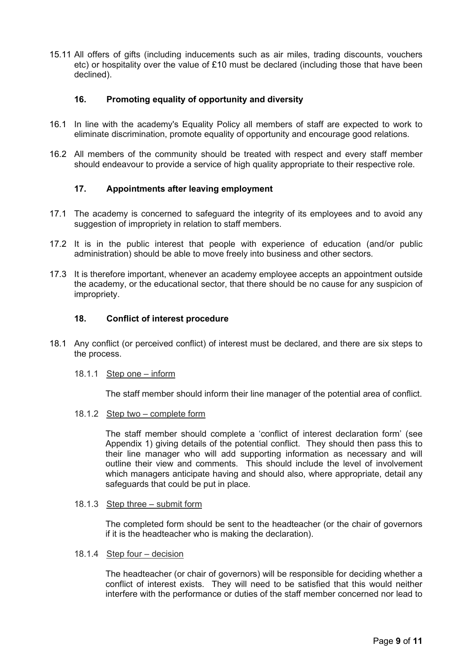15.11 All offers of gifts (including inducements such as air miles, trading discounts, vouchers etc) or hospitality over the value of £10 must be declared (including those that have been declined).

#### <span id="page-8-0"></span>**16. Promoting equality of opportunity and diversity**

- 16.1 In line with the academy's Equality Policy all members of staff are expected to work to eliminate discrimination, promote equality of opportunity and encourage good relations.
- 16.2 All members of the community should be treated with respect and every staff member should endeavour to provide a service of high quality appropriate to their respective role.

### <span id="page-8-1"></span>**17. Appointments after leaving employment**

- 17.1 The academy is concerned to safeguard the integrity of its employees and to avoid any suggestion of impropriety in relation to staff members.
- 17.2 It is in the public interest that people with experience of education (and/or public administration) should be able to move freely into business and other sectors.
- 17.3 It is therefore important, whenever an academy employee accepts an appointment outside the academy, or the educational sector, that there should be no cause for any suspicion of impropriety.

#### <span id="page-8-2"></span>**18. Conflict of interest procedure**

18.1 Any conflict (or perceived conflict) of interest must be declared, and there are six steps to the process.

#### 18.1.1 Step one – inform

The staff member should inform their line manager of the potential area of conflict.

18.1.2 Step two – complete form

The staff member should complete a 'conflict of interest declaration form' (see Appendix 1) giving details of the potential conflict. They should then pass this to their line manager who will add supporting information as necessary and will outline their view and comments. This should include the level of involvement which managers anticipate having and should also, where appropriate, detail any safeguards that could be put in place.

#### 18.1.3 Step three – submit form

The completed form should be sent to the headteacher (or the chair of governors if it is the headteacher who is making the declaration).

#### 18.1.4 Step four – decision

The headteacher (or chair of governors) will be responsible for deciding whether a conflict of interest exists. They will need to be satisfied that this would neither interfere with the performance or duties of the staff member concerned nor lead to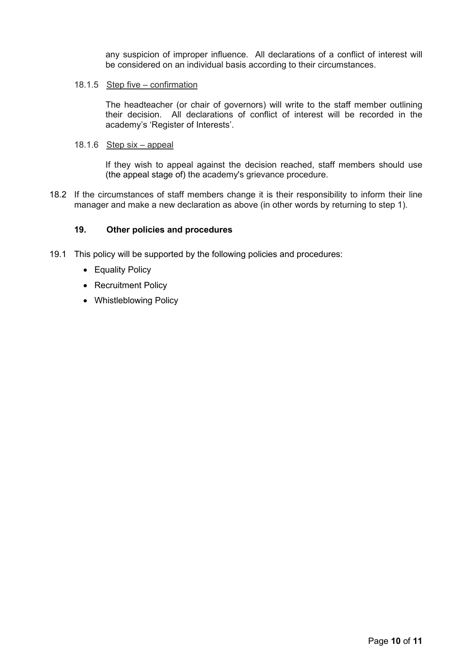any suspicion of improper influence. All declarations of a conflict of interest will be considered on an individual basis according to their circumstances.

#### 18.1.5 Step five – confirmation

The headteacher (or chair of governors) will write to the staff member outlining their decision. All declarations of conflict of interest will be recorded in the academy's 'Register of Interests'.

#### 18.1.6 Step six – appeal

If they wish to appeal against the decision reached, staff members should use (the appeal stage of) the academy's grievance procedure.

18.2 If the circumstances of staff members change it is their responsibility to inform their line manager and make a new declaration as above (in other words by returning to step 1).

#### <span id="page-9-0"></span>**19. Other policies and procedures**

- 19.1 This policy will be supported by the following policies and procedures:
	- Equality Policy
	- Recruitment Policy
	- Whistleblowing Policy